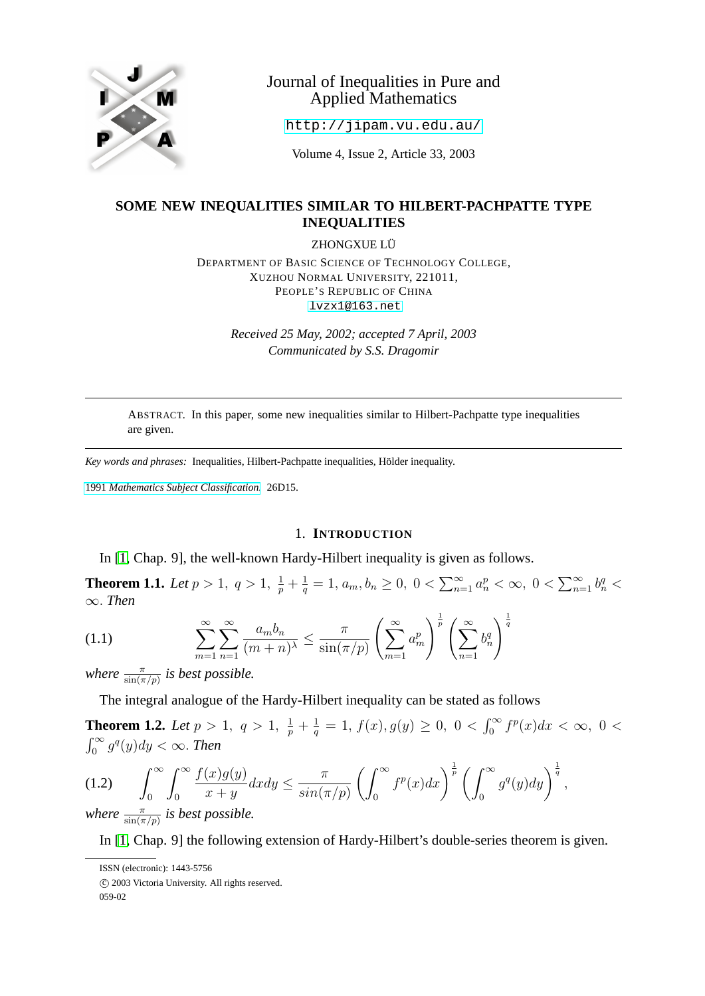

# Journal of Inequalities in Pure and Applied Mathematics

<http://jipam.vu.edu.au/>

Volume 4, Issue 2, Article 33, 2003

## **SOME NEW INEQUALITIES SIMILAR TO HILBERT-PACHPATTE TYPE INEQUALITIES**

ZHONGXUE LÜ

DEPARTMENT OF BASIC SCIENCE OF TECHNOLOGY COLLEGE, XUZHOU NORMAL UNIVERSITY, 221011, PEOPLE'S REPUBLIC OF CHINA [lvzx1@163.net](mailto:lvzx1@163.net)

> *Received 25 May, 2002; accepted 7 April, 2003 Communicated by S.S. Dragomir*

ABSTRACT. In this paper, some new inequalities similar to Hilbert-Pachpatte type inequalities are given.

*Key words and phrases:* Inequalities, Hilbert-Pachpatte inequalities, Hölder inequality.

1991 *[Mathematics Subject Classification.](http://www.ams.org/msc/)* 26D15.

#### 1. **INTRODUCTION**

In [\[1,](#page-7-0) Chap. 9], the well-known Hardy-Hilbert inequality is given as follows.

<span id="page-0-1"></span>**Theorem 1.1.** Let  $p > 1$ ,  $q > 1$ ,  $\frac{1}{p} + \frac{1}{q}$  $\frac{1}{q} = 1, a_m, b_n \geq 0, 0 < \sum_{n=1}^{\infty} a_n^p < \infty, 0 < \sum_{n=1}^{\infty} b_n^q <$ ∞. *Then*

$$
(1.1) \qquad \qquad \sum_{m=1}^{\infty} \sum_{n=1}^{\infty} \frac{a_m b_n}{(m+n)^\lambda} \le \frac{\pi}{\sin(\pi/p)} \left(\sum_{m=1}^{\infty} a_m^p\right)^{\frac{1}{p}} \left(\sum_{n=1}^{\infty} b_n^q\right)^{\frac{1}{q}}
$$

*where*  $\frac{\pi}{\sin(\pi/p)}$  *is best possible.* 

The integral analogue of the Hardy-Hilbert inequality can be stated as follows

<span id="page-0-2"></span>**Theorem 1.2.** Let  $p > 1$ ,  $q > 1$ ,  $\frac{1}{p} + \frac{1}{q}$  $\frac{1}{q} = 1, f(x), g(y) \geq 0, 0 < \int_0^\infty f^p(x) dx < \infty, 0 <$  $\int_0^\infty g^q(y)dy < \infty$ . *Then* 

$$
(1.2)\qquad \int_0^\infty \int_0^\infty \frac{f(x)g(y)}{x+y}dxdy \le \frac{\pi}{\sin(\pi/p)} \left(\int_0^\infty f^p(x)dx\right)^{\frac{1}{p}} \left(\int_0^\infty g^q(y)dy\right)^{\frac{1}{q}},
$$
\nwhere  $\frac{\pi}{\sin(\pi/p)}$  is best possible.

<span id="page-0-0"></span>In [\[1,](#page-7-0) Chap. 9] the following extension of Hardy-Hilbert's double-series theorem is given.

ISSN (electronic): 1443-5756

c 2003 Victoria University. All rights reserved.

<sup>059-02</sup>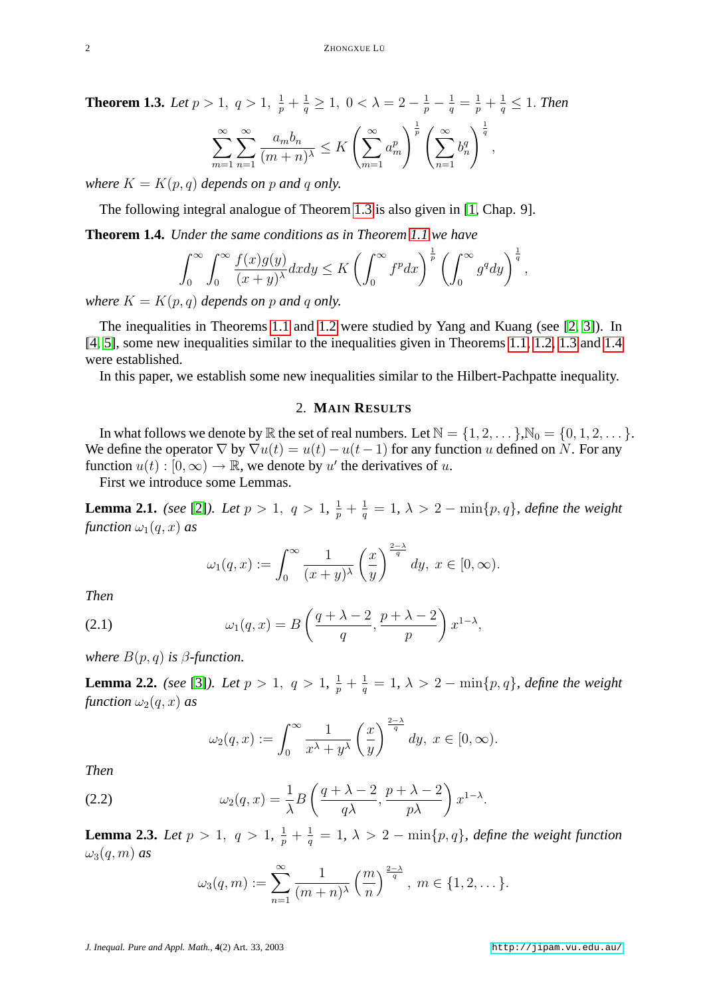**Theorem 1.3.** Let  $p > 1$ ,  $q > 1$ ,  $\frac{1}{p} + \frac{1}{q} \ge 1$ ,  $0 < \lambda = 2 - \frac{1}{p} - \frac{1}{q} = \frac{1}{p} + \frac{1}{q} \le 1$ . Then  $\sum^{\infty}$  $m=1$  $\sum^{\infty}$  $n=1$  $a_m b_n$  $\frac{a_m b_n}{(m+n)^{\lambda}} \leq K \left( \sum_{m=1}^{\infty} \right)$  $m=1$  $a_m^p$  $\bigg\}^{\frac{1}{p}}\bigg(\sum^{\infty}$  $n=1$  $b_n^q$  $\sqrt{\frac{1}{q}}$ ,

*where*  $K = K(p, q)$  *depends on* p *and* q *only.* 

The following integral analogue of Theorem [1.3](#page-0-0) is also given in [\[1,](#page-7-0) Chap. 9].

<span id="page-1-0"></span>**Theorem 1.4.** *Under the same conditions as in Theorem [1.1](#page-0-1) we have*

$$
\int_0^\infty \int_0^\infty \frac{f(x)g(y)}{(x+y)^\lambda} dxdy \le K \left( \int_0^\infty f^p dx \right)^{\frac{1}{p}} \left( \int_0^\infty g^q dy \right)^{\frac{1}{q}}
$$

*where*  $K = K(p, q)$  *depends on* p *and* q *only.* 

The inequalities in Theorems [1.1](#page-0-1) and [1.2](#page-0-2) were studied by Yang and Kuang (see [\[2,](#page-7-1) [3\]](#page-7-2)). In [\[4,](#page-7-3) [5\]](#page-7-4), some new inequalities similar to the inequalities given in Theorems [1.1,](#page-0-1) [1.2,](#page-0-2) [1.3](#page-0-0) and [1.4](#page-1-0) were established.

In this paper, we establish some new inequalities similar to the Hilbert-Pachpatte inequality.

#### 2. **MAIN RESULTS**

In what follows we denote by  $\mathbb R$  the set of real numbers. Let  $\mathbb N = \{1, 2, \dots\}$ ,  $\mathbb N_0 = \{0, 1, 2, \dots\}$ . We define the operator  $\nabla$  by  $\nabla u(t) = u(t) - u(t-1)$  for any function u defined on N. For any function  $u(t): [0, \infty) \to \mathbb{R}$ , we denote by u' the derivatives of u.

First we introduce some Lemmas.

<span id="page-1-1"></span>**Lemma 2.1.** *(see* [\[2\]](#page-7-1)*). Let*  $p > 1$ ,  $q > 1$ ,  $\frac{1}{p} + \frac{1}{q}$  $\frac{1}{q} = 1, \ \lambda > 2 - \min\{p, q\},\$  define the weight *function*  $\omega_1(q, x)$  *as* 

$$
\omega_1(q,x) := \int_0^\infty \frac{1}{(x+y)^\lambda} \left(\frac{x}{y}\right)^{\frac{2-\lambda}{q}} dy, \ x \in [0,\infty).
$$

<span id="page-1-3"></span>*Then*

(2.1) 
$$
\omega_1(q,x) = B\left(\frac{q+\lambda-2}{q}, \frac{p+\lambda-2}{p}\right) x^{1-\lambda},
$$

*where*  $B(p, q)$  *is*  $\beta$ *-function.* 

<span id="page-1-2"></span>**Lemma 2.2.** *(see* [\[3\]](#page-7-2)*). Let*  $p > 1$ ,  $q > 1$ ,  $\frac{1}{p} + \frac{1}{q}$  $\frac{1}{q} = 1, \ \lambda > 2 - \min\{p, q\},\$  define the weight *function*  $\omega_2(q, x)$  *as* 

$$
\omega_2(q,x) := \int_0^\infty \frac{1}{x^{\lambda} + y^{\lambda}} \left(\frac{x}{y}\right)^{\frac{2-\lambda}{q}} dy, \ x \in [0, \infty).
$$

*Then*

(2.2) 
$$
\omega_2(q,x) = \frac{1}{\lambda} B\left(\frac{q+\lambda-2}{q\lambda}, \frac{p+\lambda-2}{p\lambda}\right) x^{1-\lambda}.
$$

**Lemma 2.3.** *Let*  $p > 1$ ,  $q > 1$ ,  $\frac{1}{p} + \frac{1}{q}$  $\frac{1}{q} = 1, \ \lambda > 2 - \min\{p, q\},\$  define the weight function  $\omega_3(q,m)$  *as* 

$$
\omega_3(q,m) := \sum_{n=1}^{\infty} \frac{1}{(m+n)^{\lambda}} \left(\frac{m}{n}\right)^{\frac{2-\lambda}{q}}, m \in \{1,2,...\}.
$$

,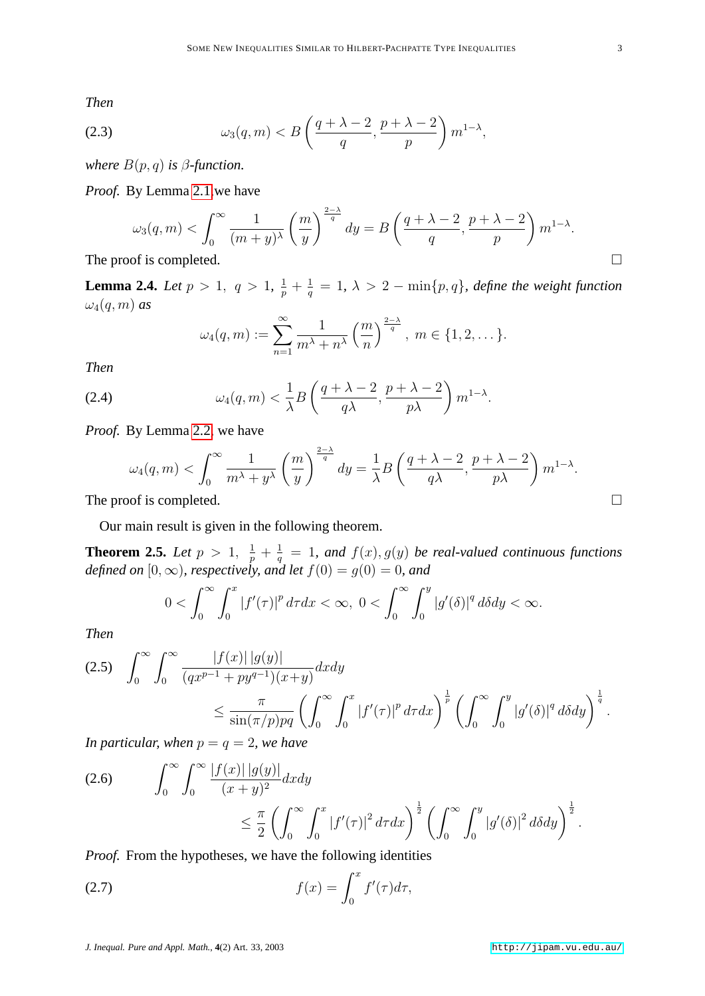<span id="page-2-3"></span>*Then*

(2.3) 
$$
\omega_3(q,m) < B\left(\frac{q+\lambda-2}{q}, \frac{p+\lambda-2}{p}\right) m^{1-\lambda},
$$

*where*  $B(p,q)$  *is*  $\beta$ *-function.* 

*Proof.* By Lemma [2.1,](#page-1-1)we have

$$
\omega_3(q,m) < \int_0^\infty \frac{1}{(m+y)^\lambda} \left(\frac{m}{y}\right)^{\frac{2-\lambda}{q}} dy = B\left(\frac{q+\lambda-2}{q}, \frac{p+\lambda-2}{p}\right) m^{1-\lambda}.
$$
\nof is completed

\n
$$
\Box
$$

The proof is completed.

**Lemma 2.4.** *Let*  $p > 1$ ,  $q > 1$ ,  $\frac{1}{p} + \frac{1}{q}$  $\frac{1}{q} = 1, \ \lambda > 2 - \min\{p, q\},\$ define the weight function  $\omega_4(q,m)$  *as* 

$$
\omega_4(q,m) := \sum_{n=1}^{\infty} \frac{1}{m^{\lambda}+n^{\lambda}} \left(\frac{m}{n}\right)^{\frac{2-\lambda}{q}}, \ m \in \{1,2,\dots\}.
$$

*Then*

(2.4) 
$$
\omega_4(q,m) < \frac{1}{\lambda} B\left(\frac{q+\lambda-2}{q\lambda}, \frac{p+\lambda-2}{p\lambda}\right) m^{1-\lambda}.
$$

*Proof.* By Lemma [2.2,](#page-1-2) we have

$$
\omega_4(q,m) < \int_0^\infty \frac{1}{m^\lambda + y^\lambda} \left(\frac{m}{y}\right)^{\frac{2-\lambda}{q}} dy = \frac{1}{\lambda} B\left(\frac{q+\lambda-2}{q\lambda}, \frac{p+\lambda-2}{p\lambda}\right) m^{1-\lambda}.
$$
\nThe proof is completed.

Our main result is given in the following theorem.

<span id="page-2-2"></span>**Theorem 2.5.** *Let*  $p > 1$ ,  $\frac{1}{p} + \frac{1}{q}$  $\frac{1}{q}$  = 1, and  $f(x)$ ,  $g(y)$  be real-valued continuous functions *defined on*  $[0, \infty)$ *, respectively, and let*  $f(0) = g(0) = 0$ *, and* 

$$
0<\int_0^\infty\int_0^x\left|f'(\tau)\right|^p d\tau dx<\infty,\ 0<\int_0^\infty\int_0^y\left|g'(\delta)\right|^q d\delta dy<\infty.
$$

*Then*

<span id="page-2-1"></span>
$$
(2.5) \quad \int_0^\infty \int_0^\infty \frac{|f(x)| |g(y)|}{(qx^{p-1} + py^{q-1})(x+y)} dx dy \le \frac{\pi}{\sin(\pi/p)pq} \left( \int_0^\infty \int_0^x |f'(\tau)|^p d\tau dx \right)^{\frac{1}{p}} \left( \int_0^\infty \int_0^y |g'(\delta)|^q d\delta dy \right)^{\frac{1}{q}}.
$$

*In particular, when*  $p = q = 2$ *, we have* 

$$
(2.6) \qquad \int_0^\infty \int_0^\infty \frac{|f(x)| \, |g(y)|}{(x+y)^2} dx dy \leq \frac{\pi}{2} \left( \int_0^\infty \int_0^x |f'(\tau)|^2 \, d\tau dx \right)^{\frac{1}{2}} \left( \int_0^\infty \int_0^y |g'(\delta)|^2 \, d\delta dy \right)^{\frac{1}{2}}.
$$

*Proof.* From the hypotheses, we have the following identities

<span id="page-2-0"></span>(2.7) 
$$
f(x) = \int_0^x f'(\tau) d\tau,
$$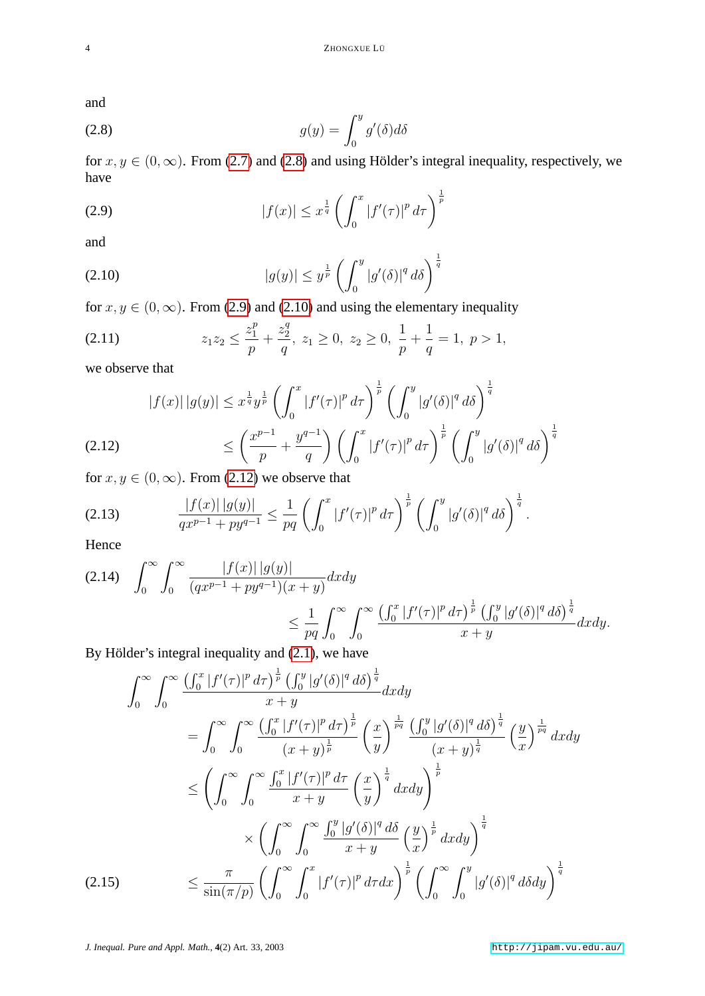<span id="page-3-0"></span>and

(2.8) 
$$
g(y) = \int_0^y g'(\delta) d\delta
$$

<span id="page-3-1"></span>for  $x, y \in (0, \infty)$ . From [\(2.7\)](#page-2-0) and [\(2.8\)](#page-3-0) and using Hölder's integral inequality, respectively, we have

(2.9) 
$$
|f(x)| \leq x^{\frac{1}{q}} \left( \int_0^x |f'(\tau)|^p d\tau \right)^{\frac{1}{p}}
$$

<span id="page-3-2"></span>and

(2.10) 
$$
|g(y)| \le y^{\frac{1}{p}} \left( \int_0^y |g'(\delta)|^q d\delta \right)^{\frac{1}{q}}
$$

for  $x, y \in (0, \infty)$ . From [\(2.9\)](#page-3-1) and [\(2.10\)](#page-3-2) and using the elementary inequality

<span id="page-3-6"></span>(2.11) 
$$
z_1 z_2 \leq \frac{z_1^p}{p} + \frac{z_2^q}{q}, \ z_1 \geq 0, \ z_2 \geq 0, \ \frac{1}{p} + \frac{1}{q} = 1, \ p > 1,
$$

we observe that

$$
|f(x)| |g(y)| \leq x^{\frac{1}{q}} y^{\frac{1}{p}} \left( \int_0^x |f'(\tau)|^p d\tau \right)^{\frac{1}{p}} \left( \int_0^y |g'(\delta)|^q d\delta \right)^{\frac{1}{q}}
$$
  
(2.12)  

$$
\leq \left( \frac{x^{p-1}}{p} + \frac{y^{q-1}}{q} \right) \left( \int_0^x |f'(\tau)|^p d\tau \right)^{\frac{1}{p}} \left( \int_0^y |g'(\delta)|^q d\delta \right)^{\frac{1}{q}}
$$

<span id="page-3-3"></span>for  $x, y \in (0, \infty)$ . From [\(2.12\)](#page-3-3) we observe that

(2.13) 
$$
\frac{|f(x)||g(y)|}{qx^{p-1}+py^{q-1}} \le \frac{1}{pq} \left( \int_0^x |f'(\tau)|^p d\tau \right)^{\frac{1}{p}} \left( \int_0^y |g'(\delta)|^q d\delta \right)^{\frac{1}{q}}.
$$

Hence

<span id="page-3-4"></span>
$$
(2.14) \quad \int_0^\infty \int_0^\infty \frac{|f(x)| |g(y)|}{(qx^{p-1} + py^{q-1})(x+y)} dx dy
$$
  

$$
\leq \frac{1}{pq} \int_0^\infty \int_0^\infty \frac{\left(\int_0^x |f'(\tau)|^p \, d\tau\right)^{\frac{1}{p}} \left(\int_0^y |g'(\delta)|^q \, d\delta\right)^{\frac{1}{q}}}{x+y} dx dy.
$$

By Hölder's integral inequality and [\(2.1\)](#page-1-3), we have

<span id="page-3-5"></span>
$$
\int_0^\infty \int_0^\infty \frac{\left(\int_0^x |f'(\tau)|^p \, d\tau\right)^{\frac{1}{p}} \left(\int_0^y |g'(\delta)|^q \, d\delta\right)^{\frac{1}{q}}}{x+y} dx dy
$$
\n
$$
= \int_0^\infty \int_0^\infty \frac{\left(\int_0^x |f'(\tau)|^p \, d\tau\right)^{\frac{1}{p}}}{(x+y)^{\frac{1}{p}}} \left(\frac{x}{y}\right)^{\frac{1}{pq}} \frac{\left(\int_0^y |g'(\delta)|^q \, d\delta\right)^{\frac{1}{q}}}{(x+y)^{\frac{1}{q}}} \left(\frac{y}{x}\right)^{\frac{1}{pq}} dx dy
$$
\n
$$
\leq \left(\int_0^\infty \int_0^\infty \frac{\int_0^x |f'(\tau)|^p \, d\tau}{x+y} \left(\frac{x}{y}\right)^{\frac{1}{q}} dx dy\right)^{\frac{1}{p}}
$$
\n
$$
\times \left(\int_0^\infty \int_0^\infty \frac{\int_0^y |g'(\delta)|^q \, d\delta}{x+y} \left(\frac{y}{x}\right)^{\frac{1}{p}} dx dy\right)^{\frac{1}{q}}
$$
\n
$$
(2.15) \qquad \leq \frac{\pi}{\sin(\pi/p)} \left(\int_0^\infty \int_0^x |f'(\tau)|^p \, d\tau dx\right)^{\frac{1}{p}} \left(\int_0^\infty \int_0^y |g'(\delta)|^q \, d\delta dy\right)^{\frac{1}{q}}
$$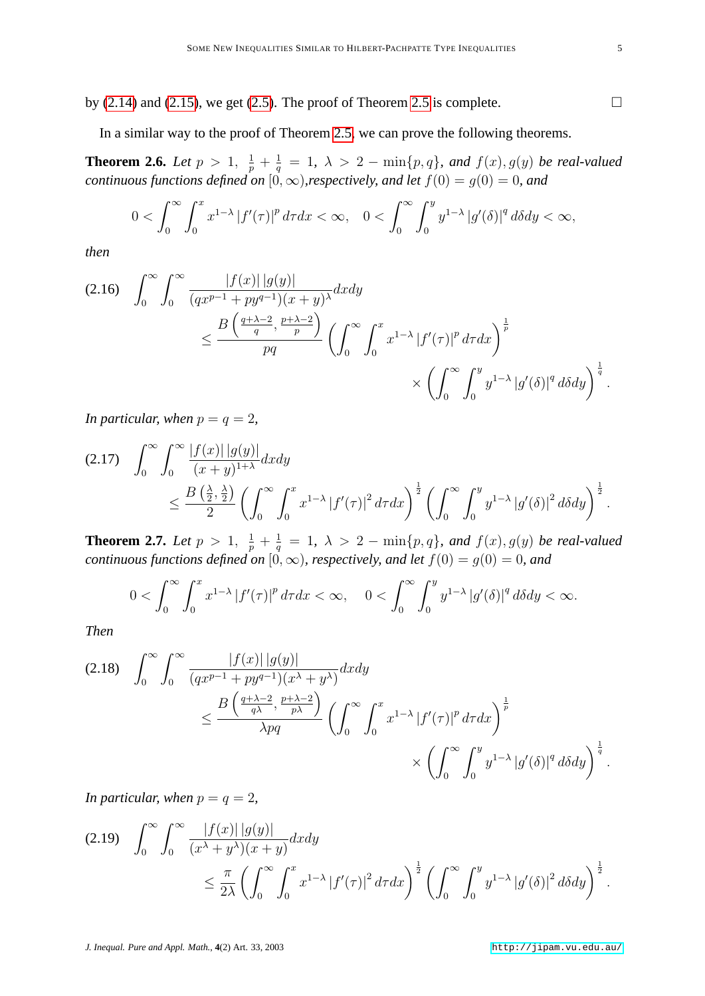by [\(2.14\)](#page-3-4) and [\(2.15\)](#page-3-5), we get [\(2.5\)](#page-2-1). The proof of Theorem [2.5](#page-2-2) is complete.  $\Box$ 

In a similar way to the proof of Theorem [2.5,](#page-2-2) we can prove the following theorems.

**Theorem 2.6.** *Let*  $p > 1$ ,  $\frac{1}{p} + \frac{1}{q}$  $\frac{1}{q}$  = 1,  $\lambda > 2$  – min $\{p,q\}$ *, and*  $f(x)$ *, g*(y) *be real-valued continuous functions defined on*  $[0, \infty)$ *, respectively, and let*  $f(0) = g(0) = 0$ *, and* 

$$
0<\int_0^\infty\int_0^xx^{1-\lambda}|f'(\tau)|^p\,d\tau dx<\infty,\quad 0<\int_0^\infty\int_0^yy^{1-\lambda}|g'(\delta)|^q\,d\delta dy<\infty,
$$

*then*

$$
(2.16) \quad \int_0^\infty \int_0^\infty \frac{|f(x)| |g(y)|}{(qx^{p-1} + py^{q-1})(x+y)^\lambda} dx dy
$$
  

$$
\leq \frac{B\left(\frac{q+\lambda-2}{q}, \frac{p+\lambda-2}{p}\right)}{pq} \left(\int_0^\infty \int_0^x x^{1-\lambda} |f'(\tau)|^p d\tau dx\right)^{\frac{1}{p}}
$$
  

$$
\times \left(\int_0^\infty \int_0^y y^{1-\lambda} |g'(\delta)|^q d\delta dy\right)^{\frac{1}{q}}.
$$

*In particular, when*  $p = q = 2$ *,* 

$$
(2.17) \quad \int_0^{\infty} \int_0^{\infty} \frac{|f(x)| |g(y)|}{(x+y)^{1+\lambda}} dx dy
$$
  

$$
\leq \frac{B\left(\frac{\lambda}{2}, \frac{\lambda}{2}\right)}{2} \left( \int_0^{\infty} \int_0^x x^{1-\lambda} |f'(\tau)|^2 d\tau dx \right)^{\frac{1}{2}} \left( \int_0^{\infty} \int_0^y y^{1-\lambda} |g'(\delta)|^2 d\delta dy \right)^{\frac{1}{2}}.
$$

**Theorem 2.7.** *Let*  $p > 1$ ,  $\frac{1}{p} + \frac{1}{q}$  $\frac{1}{q}$  = 1,  $\lambda > 2$  – min $\{p,q\}$ *, and*  $f(x)$ *, g*(y) *be real-valued continuous functions defined on*  $[0, \infty)$ *, respectively, and let*  $f(0) = g(0) = 0$ *, and* 

$$
0<\int_0^\infty\int_0^xx^{1-\lambda}\left|f'(\tau)\right|^p d\tau dx<\infty,\quad 0<\int_0^\infty\int_0^yy^{1-\lambda}\left|g'(\delta)\right|^q d\delta dy<\infty.
$$

*Then*

$$
(2.18) \quad \int_0^\infty \int_0^\infty \frac{|f(x)| |g(y)|}{(qx^{p-1} + py^{q-1})(x^{\lambda} + y^{\lambda})} dx dy
$$
  

$$
\leq \frac{B\left(\frac{q+\lambda-2}{q\lambda}, \frac{p+\lambda-2}{p\lambda}\right)}{\lambda pq} \left(\int_0^\infty \int_0^x x^{1-\lambda} |f'(\tau)|^p d\tau dx\right)^{\frac{1}{p}}
$$
  

$$
\times \left(\int_0^\infty \int_0^y y^{1-\lambda} |g'(\delta)|^q d\delta dy\right)^{\frac{1}{q}}.
$$

*In particular, when*  $p = q = 2$ ,

$$
(2.19) \quad \int_0^\infty \int_0^\infty \frac{|f(x)| |g(y)|}{(x^\lambda + y^\lambda)(x + y)} dx dy
$$
  

$$
\leq \frac{\pi}{2\lambda} \left( \int_0^\infty \int_0^x x^{1-\lambda} |f'(\tau)|^2 d\tau dx \right)^{\frac{1}{2}} \left( \int_0^\infty \int_0^y y^{1-\lambda} |g'(\delta)|^2 d\delta dy \right)^{\frac{1}{2}}.
$$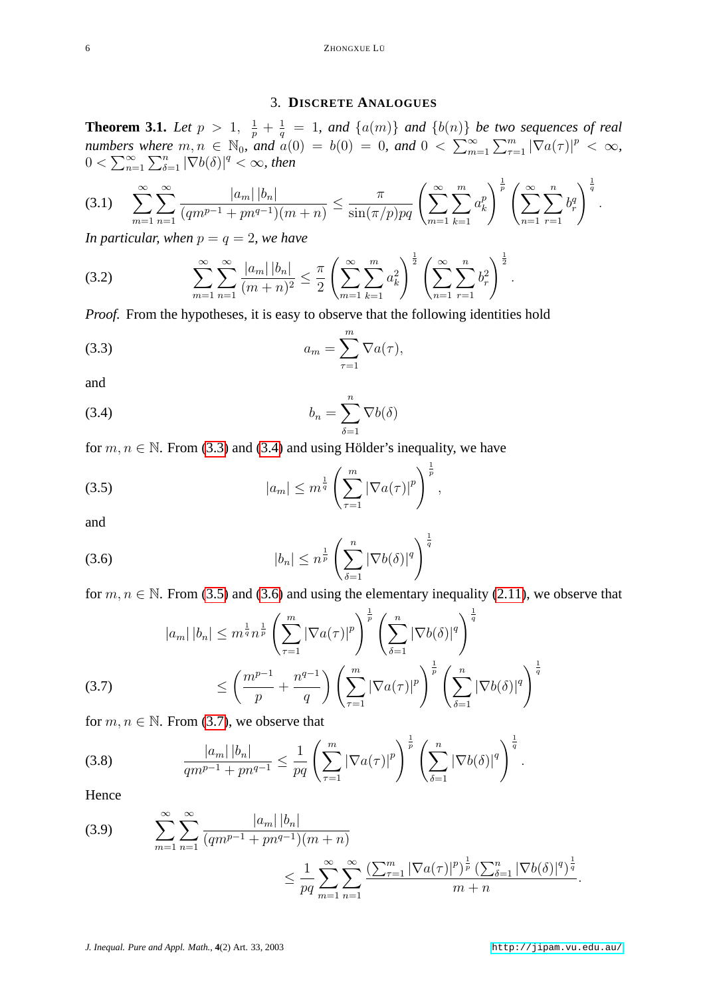### <span id="page-5-6"></span><span id="page-5-2"></span><span id="page-5-0"></span>3. **DISCRETE ANALOGUES**

<span id="page-5-7"></span>**Theorem 3.1.** *Let*  $p > 1$ ,  $\frac{1}{p} + \frac{1}{q}$  $\frac{1}{q}$  = 1, and  $\{a(m)\}$  and  $\{b(n)\}$  be two sequences of real *numbers where*  $m, n \in \mathbb{N}_0$ , and  $a(0) = b(0) = 0$ , and  $0 < \sum_{m=1}^{\infty} \sum_{\tau=1}^{m} |\nabla a(\tau)|^p < \infty$ ,  $0 < \sum_{n=1}^{\infty} \sum_{\delta=1}^{n} |\nabla b(\delta)|^q < \infty$ , then

$$
(3.1) \sum_{m=1}^{\infty} \sum_{n=1}^{\infty} \frac{|a_m| |b_n|}{(qm^{p-1} + pn^{q-1})(m+n)} \le \frac{\pi}{\sin(\pi/p)pq} \left(\sum_{m=1}^{\infty} \sum_{k=1}^{m} a_k^p\right)^{\frac{1}{p}} \left(\sum_{n=1}^{\infty} \sum_{r=1}^{n} b_r^q\right)^{\frac{1}{q}}.
$$

*In particular, when*  $p = q = 2$ *, we have* 

(3.2) 
$$
\sum_{m=1}^{\infty} \sum_{n=1}^{\infty} \frac{|a_m| |b_n|}{(m+n)^2} \leq \frac{\pi}{2} \left( \sum_{m=1}^{\infty} \sum_{k=1}^m a_k^2 \right)^{\frac{1}{2}} \left( \sum_{n=1}^{\infty} \sum_{r=1}^n b_r^2 \right)^{\frac{1}{2}}.
$$

*Proof.* From the hypotheses, it is easy to observe that the following identities hold

$$
(3.3) \t\t\t a_m = \sum_{\tau=1}^m \nabla a(\tau),
$$

<span id="page-5-1"></span>and

(3.4) 
$$
b_n = \sum_{\delta=1}^n \nabla b(\delta)
$$

for  $m, n \in \mathbb{N}$ . From [\(3.3\)](#page-5-0) and [\(3.4\)](#page-5-1) and using Hölder's inequality, we have

(3.5) 
$$
|a_m| \le m^{\frac{1}{q}} \left( \sum_{\tau=1}^m |\nabla a(\tau)|^p \right)^{\frac{1}{p}},
$$

<span id="page-5-3"></span>and

(3.6) 
$$
|b_n| \leq n^{\frac{1}{p}} \left( \sum_{\delta=1}^n |\nabla b(\delta)|^q \right)^{\frac{1}{q}}
$$

for  $m, n \in \mathbb{N}$ . From [\(3.5\)](#page-5-2) and [\(3.6\)](#page-5-3) and using the elementary inequality [\(2.11\)](#page-3-6), we observe that

(3.7) 
$$
|a_{m}| |b_{n}| \leq m^{\frac{1}{q}} n^{\frac{1}{p}} \left( \sum_{\tau=1}^{m} |\nabla a(\tau)|^{p} \right)^{\frac{1}{p}} \left( \sum_{\delta=1}^{n} |\nabla b(\delta)|^{q} \right)^{\frac{1}{q}}
$$

$$
\leq \left( \frac{m^{p-1}}{p} + \frac{n^{q-1}}{q} \right) \left( \sum_{\tau=1}^{m} |\nabla a(\tau)|^{p} \right)^{\frac{1}{p}} \left( \sum_{\delta=1}^{n} |\nabla b(\delta)|^{q} \right)^{\frac{1}{q}}
$$

<span id="page-5-4"></span>for  $m, n \in \mathbb{N}$ . From [\(3.7\)](#page-5-4), we observe that

(3.8) 
$$
\frac{|a_m||b_n|}{qm^{p-1}+pn^{q-1}} \leq \frac{1}{pq} \left(\sum_{\tau=1}^m |\nabla a(\tau)|^p\right)^{\frac{1}{p}} \left(\sum_{\delta=1}^n |\nabla b(\delta)|^q\right)^{\frac{1}{q}}.
$$

Hence

<span id="page-5-5"></span>(3.9) 
$$
\sum_{m=1}^{\infty} \sum_{n=1}^{\infty} \frac{|a_m| |b_n|}{(qm^{p-1} + pn^{q-1})(m+n)} \le \frac{1}{pq} \sum_{m=1}^{\infty} \sum_{n=1}^{\infty} \frac{\left(\sum_{\tau=1}^{m} |\nabla a(\tau)|^p\right)^{\frac{1}{p}} \left(\sum_{\delta=1}^{n} |\nabla b(\delta)|^q\right)^{\frac{1}{q}}}{m+n}.
$$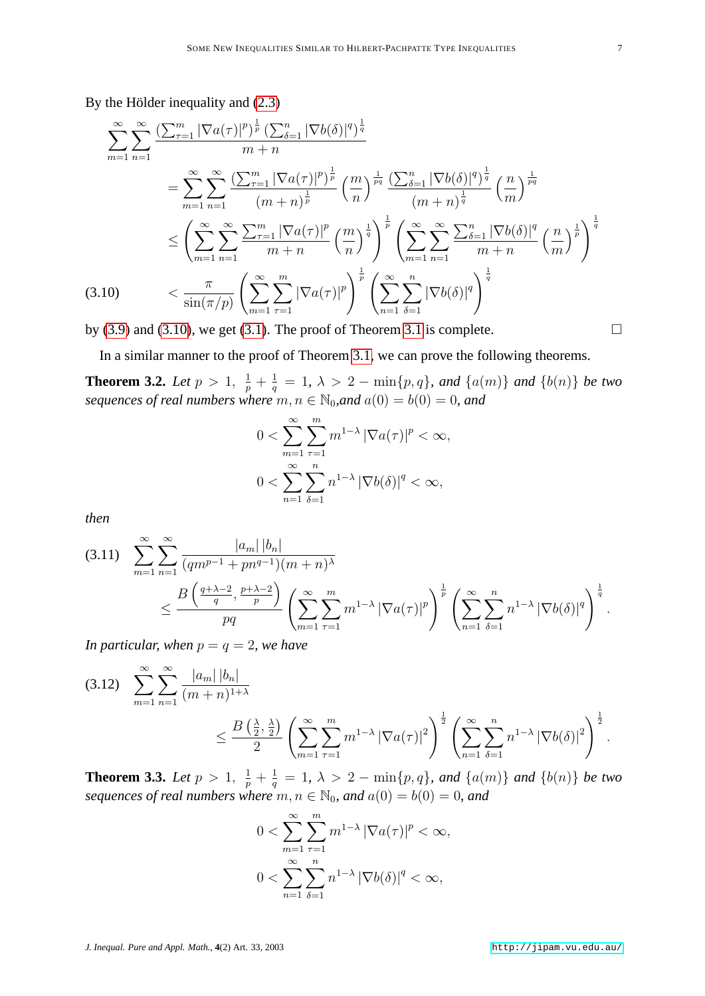By the Hölder inequality and [\(2.3\)](#page-2-3)

$$
\sum_{m=1}^{\infty} \sum_{n=1}^{\infty} \frac{\left(\sum_{\tau=1}^{m} |\nabla a(\tau)|^{p}\right)^{\frac{1}{p}} \left(\sum_{\delta=1}^{n} |\nabla b(\delta)|^{q}\right)^{\frac{1}{q}}}{m+n}
$$
\n
$$
= \sum_{m=1}^{\infty} \sum_{n=1}^{\infty} \frac{\left(\sum_{\tau=1}^{m} |\nabla a(\tau)|^{p}\right)^{\frac{1}{p}}}{\left(m+n\right)^{\frac{1}{p}}}\left(\frac{m}{n}\right)^{\frac{1}{pq}} \frac{\left(\sum_{\delta=1}^{n} |\nabla b(\delta)|^{q}\right)^{\frac{1}{q}}}{\left(m+n\right)^{\frac{1}{q}}}\left(\frac{m}{m}\right)^{\frac{1}{pq}}
$$
\n
$$
\leq \left(\sum_{m=1}^{\infty} \sum_{n=1}^{\infty} \frac{\sum_{\tau=1}^{m} |\nabla a(\tau)|^{p}}{m+n} \left(\frac{m}{n}\right)^{\frac{1}{q}}\right)^{\frac{1}{p}} \left(\sum_{m=1}^{\infty} \sum_{n=1}^{\infty} \frac{\sum_{\delta=1}^{n} |\nabla b(\delta)|^{q}}{m+n} \left(\frac{m}{m}\right)^{\frac{1}{p}}\right)^{\frac{1}{q}}
$$
\n(3.10) 
$$
< \frac{\pi}{\sin(\pi/p)} \left(\sum_{m=1}^{\infty} \sum_{\tau=1}^{m} |\nabla a(\tau)|^{p}\right)^{\frac{1}{p}} \left(\sum_{n=1}^{\infty} \sum_{\delta=1}^{n} |\nabla b(\delta)|^{q}\right)^{\frac{1}{q}}
$$

<span id="page-6-0"></span>by [\(3.9\)](#page-5-5) and [\(3.10\)](#page-6-0), we get [\(3.1\)](#page-5-6). The proof of Theorem [3.1](#page-5-7) is complete.  $\Box$ 

In a similar manner to the proof of Theorem [3.1,](#page-5-7) we can prove the following theorems.

**Theorem 3.2.** *Let*  $p > 1$ ,  $\frac{1}{p} + \frac{1}{q}$  $\frac{1}{q}$  = 1*,* λ > 2 − min{p, q}*,* and {a(m)} and {b(n)} be two *sequences of real numbers where*  $m, n \in \mathbb{N}_0$ , and  $a(0) = b(0) = 0$ , and

$$
0 < \sum_{m=1}^{\infty} \sum_{\tau=1}^{m} m^{1-\lambda} \left| \nabla a(\tau) \right|^p < \infty,
$$
\n
$$
0 < \sum_{n=1}^{\infty} \sum_{\delta=1}^{n} n^{1-\lambda} \left| \nabla b(\delta) \right|^q < \infty,
$$

*then*

$$
(3.11) \sum_{m=1}^{\infty} \sum_{n=1}^{\infty} \frac{|a_m| |b_n|}{(qm^{p-1} + pn^{q-1})(m+n)^{\lambda}} \leq \frac{B\left(\frac{q+\lambda-2}{q}, \frac{p+\lambda-2}{p}\right)}{pq} \left(\sum_{m=1}^{\infty} \sum_{\tau=1}^{m} m^{1-\lambda} |\nabla a(\tau)|^p\right)^{\frac{1}{p}} \left(\sum_{n=1}^{\infty} \sum_{\delta=1}^{n} n^{1-\lambda} |\nabla b(\delta)|^q\right)^{\frac{1}{q}}.
$$

*In particular, when*  $p = q = 2$ *, we have* 

$$
(3.12) \sum_{m=1}^{\infty} \sum_{n=1}^{\infty} \frac{|a_m| |b_n|}{(m+n)^{1+\lambda}}
$$
  
 
$$
\leq \frac{B\left(\frac{\lambda}{2}, \frac{\lambda}{2}\right)}{2} \left( \sum_{m=1}^{\infty} \sum_{\tau=1}^{m} m^{1-\lambda} |\nabla a(\tau)|^2 \right)^{\frac{1}{2}} \left( \sum_{n=1}^{\infty} \sum_{\delta=1}^{n} n^{1-\lambda} |\nabla b(\delta)|^2 \right)^{\frac{1}{2}}.
$$

**Theorem 3.3.** *Let*  $p > 1$ ,  $\frac{1}{p} + \frac{1}{q}$  $\frac{1}{q}$  = 1*,*  $\lambda > 2 - \min\{p, q\}$ *, and* {a(m)} *and* {b(n)} *be two sequences of real numbers where*  $m, n \in \mathbb{N}_0$ *, and*  $a(0) = b(0) = 0$ *, and* 

$$
0 < \sum_{m=1}^{\infty} \sum_{\tau=1}^{m} m^{1-\lambda} \left| \nabla a(\tau) \right|^p < \infty,
$$
\n
$$
0 < \sum_{n=1}^{\infty} \sum_{\delta=1}^{n} n^{1-\lambda} \left| \nabla b(\delta) \right|^q < \infty,
$$